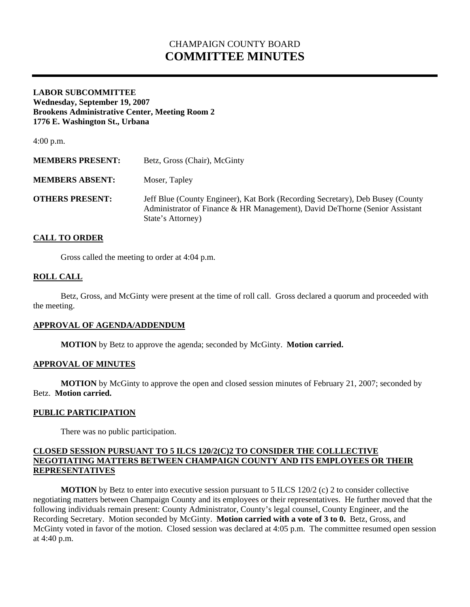# CHAMPAIGN COUNTY BOARD **COMMITTEE MINUTES**

#### **LABOR SUBCOMMITTEE Wednesday, September 19, 2007 Brookens Administrative Center, Meeting Room 2 1776 E. Washington St., Urbana**

4:00 p.m.

| <b>MEMBERS PRESENT:</b> | Betz, Gross (Chair), McGinty                                                                                                                                                       |
|-------------------------|------------------------------------------------------------------------------------------------------------------------------------------------------------------------------------|
| <b>MEMBERS ABSENT:</b>  | Moser, Tapley                                                                                                                                                                      |
| <b>OTHERS PRESENT:</b>  | Jeff Blue (County Engineer), Kat Bork (Recording Secretary), Deb Busey (County<br>Administrator of Finance & HR Management), David DeThorne (Senior Assistant<br>State's Attorney) |

# **CALL TO ORDER**

Gross called the meeting to order at 4:04 p.m.

# **ROLL CALL**

 Betz, Gross, and McGinty were present at the time of roll call. Gross declared a quorum and proceeded with the meeting.

# **APPROVAL OF AGENDA/ADDENDUM**

 **MOTION** by Betz to approve the agenda; seconded by McGinty. **Motion carried.** 

#### **APPROVAL OF MINUTES**

**MOTION** by McGinty to approve the open and closed session minutes of February 21, 2007; seconded by Betz. **Motion carried.**

#### **PUBLIC PARTICIPATION**

There was no public participation.

# **CLOSED SESSION PURSUANT TO 5 ILCS 120/2(C)2 TO CONSIDER THE COLLLECTIVE NEGOTIATING MATTERS BETWEEN CHAMPAIGN COUNTY AND ITS EMPLOYEES OR THEIR REPRESENTATIVES**

**MOTION** by Betz to enter into executive session pursuant to 5 ILCS 120/2 (c) 2 to consider collective negotiating matters between Champaign County and its employees or their representatives. He further moved that the following individuals remain present: County Administrator, County's legal counsel, County Engineer, and the Recording Secretary. Motion seconded by McGinty. **Motion carried with a vote of 3 to 0.** Betz, Gross, and McGinty voted in favor of the motion. Closed session was declared at 4:05 p.m. The committee resumed open session at 4:40 p.m.